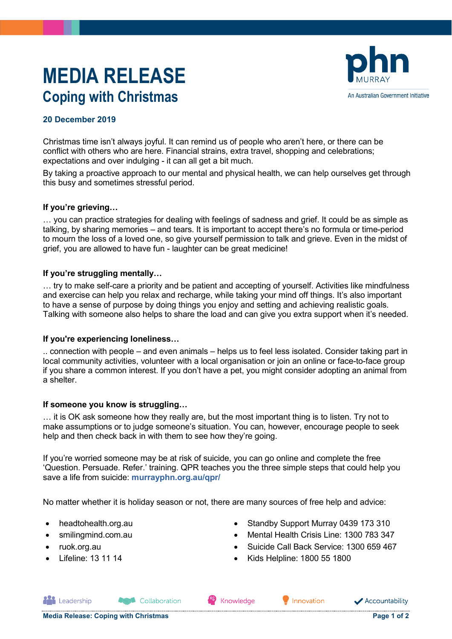# **MEDIA RELEASE Coping with Christmas**



# **20 December 2019**

Christmas time isn't always joyful. It can remind us of people who aren't here, or there can be conflict with others who are here. Financial strains, extra travel, shopping and celebrations; expectations and over indulging - it can all get a bit much.

By taking a proactive approach to our mental and physical health, we can help ourselves get through this busy and sometimes stressful period.

## **If you're grieving…**

… you can practice strategies for dealing with feelings of sadness and grief. It could be as simple as talking, by sharing memories – and tears. It is important to accept there's no formula or time-period to mourn the loss of a loved one, so give yourself permission to talk and grieve. Even in the midst of grief, you are allowed to have fun - laughter can be great medicine!

## **If you're struggling mentally…**

… try to make self-care a priority and be patient and accepting of yourself. Activities like mindfulness and exercise can help you relax and recharge, while taking your mind off things. It's also important to have a sense of purpose by doing things you enjoy and setting and achieving realistic goals. Talking with someone also helps to share the load and can give you extra support when it's needed.

#### **If you're experiencing loneliness…**

.. connection with people – and even animals – helps us to feel less isolated. Consider taking part in local community activities, volunteer with a local organisation or join an online or face-to-face group if you share a common interest. If you don't have a pet, you might consider adopting an animal from a shelter.

#### **If someone you know is struggling…**

… it is OK ask someone how they really are, but the most important thing is to listen. Try not to make assumptions or to judge someone's situation. You can, however, encourage people to seek help and then check back in with them to see how they're going.

If you're worried someone may be at risk of suicide, you can go online and complete the free 'Question. Persuade. Refer.' training. QPR teaches you the three simple steps that could help you save a life from suicide: **[murrayphn.org.au/qpr/](https://www.murrayphn.org.au/qpr/)**

No matter whether it is holiday season or not, there are many sources of free help and advice:

- headtohealth.org.au
- smilingmind.com.au
- ruok.org.au

**ALL** Leadership

• Lifeline: 13 11 14

- Standby Support Murray 0439 173 310
- Mental Health Crisis Line: 1300 783 347
- Suicide Call Back Service: 1300 659 467
- Kids Helpline: 1800 55 1800

Collaboration